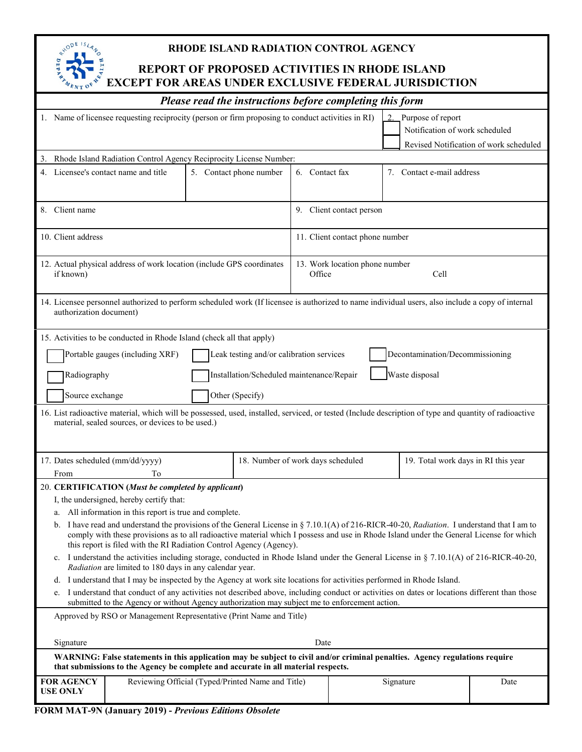

# **RHODE ISLAND RADIATION CONTROL AGENCY**

# **REPORT OF PROPOSED ACTIVITIES IN RHODE ISLAND EXCEPT FOR AREAS UNDER EXCLUSIVE FEDERAL JURISDICTION**

| - 4 L                                                                                                                                                                                                          |  |                         |  |                                   |                      |                                     |  |
|----------------------------------------------------------------------------------------------------------------------------------------------------------------------------------------------------------------|--|-------------------------|--|-----------------------------------|----------------------|-------------------------------------|--|
| Please read the instructions before completing this form                                                                                                                                                       |  |                         |  |                                   |                      |                                     |  |
| Purpose of report<br>1. Name of licensee requesting reciprocity (person or firm proposing to conduct activities in RI)<br>$\overline{2}$                                                                       |  |                         |  |                                   |                      |                                     |  |
|                                                                                                                                                                                                                |  |                         |  |                                   |                      | Notification of work scheduled      |  |
|                                                                                                                                                                                                                |  |                         |  |                                   |                      |                                     |  |
| Revised Notification of work scheduled<br>Rhode Island Radiation Control Agency Reciprocity License Number:                                                                                                    |  |                         |  |                                   |                      |                                     |  |
| 4. Licensee's contact name and title                                                                                                                                                                           |  | 5. Contact phone number |  |                                   | 6. Contact fax<br>7. | Contact e-mail address              |  |
|                                                                                                                                                                                                                |  |                         |  |                                   |                      |                                     |  |
|                                                                                                                                                                                                                |  |                         |  |                                   |                      |                                     |  |
| 8. Client name                                                                                                                                                                                                 |  |                         |  | 9. Client contact person          |                      |                                     |  |
|                                                                                                                                                                                                                |  |                         |  |                                   |                      |                                     |  |
| 10. Client address                                                                                                                                                                                             |  |                         |  | 11. Client contact phone number   |                      |                                     |  |
|                                                                                                                                                                                                                |  |                         |  |                                   |                      |                                     |  |
| 12. Actual physical address of work location (include GPS coordinates                                                                                                                                          |  |                         |  | 13. Work location phone number    |                      |                                     |  |
| if known)                                                                                                                                                                                                      |  |                         |  | Cell<br>Office                    |                      |                                     |  |
|                                                                                                                                                                                                                |  |                         |  |                                   |                      |                                     |  |
| 14. Licensee personnel authorized to perform scheduled work (If licensee is authorized to name individual users, also include a copy of internal                                                               |  |                         |  |                                   |                      |                                     |  |
| authorization document)                                                                                                                                                                                        |  |                         |  |                                   |                      |                                     |  |
|                                                                                                                                                                                                                |  |                         |  |                                   |                      |                                     |  |
| 15. Activities to be conducted in Rhode Island (check all that apply)                                                                                                                                          |  |                         |  |                                   |                      |                                     |  |
| Portable gauges (including XRF)<br>Leak testing and/or calibration services<br>Decontamination/Decommissioning                                                                                                 |  |                         |  |                                   |                      |                                     |  |
|                                                                                                                                                                                                                |  |                         |  |                                   |                      |                                     |  |
| Waste disposal<br>Installation/Scheduled maintenance/Repair<br>Radiography                                                                                                                                     |  |                         |  |                                   |                      |                                     |  |
|                                                                                                                                                                                                                |  |                         |  |                                   |                      |                                     |  |
| Source exchange<br>Other (Specify)                                                                                                                                                                             |  |                         |  |                                   |                      |                                     |  |
| 16. List radioactive material, which will be possessed, used, installed, serviced, or tested (Include description of type and quantity of radioactive                                                          |  |                         |  |                                   |                      |                                     |  |
| material, sealed sources, or devices to be used.)                                                                                                                                                              |  |                         |  |                                   |                      |                                     |  |
|                                                                                                                                                                                                                |  |                         |  |                                   |                      |                                     |  |
|                                                                                                                                                                                                                |  |                         |  |                                   |                      |                                     |  |
| 17. Dates scheduled (mm/dd/yyyy)                                                                                                                                                                               |  |                         |  | 18. Number of work days scheduled |                      | 19. Total work days in RI this year |  |
| From<br>To                                                                                                                                                                                                     |  |                         |  |                                   |                      |                                     |  |
| 20. CERTIFICATION (Must be completed by applicant)                                                                                                                                                             |  |                         |  |                                   |                      |                                     |  |
| I, the undersigned, hereby certify that:                                                                                                                                                                       |  |                         |  |                                   |                      |                                     |  |
| a. All information in this report is true and complete.                                                                                                                                                        |  |                         |  |                                   |                      |                                     |  |
| b. I have read and understand the provisions of the General License in § 7.10.1(A) of 216-RICR-40-20, Radiation. I understand that I am to                                                                     |  |                         |  |                                   |                      |                                     |  |
| comply with these provisions as to all radioactive material which I possess and use in Rhode Island under the General License for which                                                                        |  |                         |  |                                   |                      |                                     |  |
| this report is filed with the RI Radiation Control Agency (Agency).                                                                                                                                            |  |                         |  |                                   |                      |                                     |  |
| I understand the activities including storage, conducted in Rhode Island under the General License in § 7.10.1(A) of 216-RICR-40-20,<br>$c_{\cdot}$<br>Radiation are limited to 180 days in any calendar year. |  |                         |  |                                   |                      |                                     |  |
| I understand that I may be inspected by the Agency at work site locations for activities performed in Rhode Island.<br>d.                                                                                      |  |                         |  |                                   |                      |                                     |  |
| I understand that conduct of any activities not described above, including conduct or activities on dates or locations different than those<br>e.                                                              |  |                         |  |                                   |                      |                                     |  |
| submitted to the Agency or without Agency authorization may subject me to enforcement action.                                                                                                                  |  |                         |  |                                   |                      |                                     |  |
| Approved by RSO or Management Representative (Print Name and Title)                                                                                                                                            |  |                         |  |                                   |                      |                                     |  |
|                                                                                                                                                                                                                |  |                         |  |                                   |                      |                                     |  |
| Signature<br>Date                                                                                                                                                                                              |  |                         |  |                                   |                      |                                     |  |
| WARNING: False statements in this application may be subject to civil and/or criminal penalties. Agency regulations require                                                                                    |  |                         |  |                                   |                      |                                     |  |
| that submissions to the Agency be complete and accurate in all material respects.                                                                                                                              |  |                         |  |                                   |                      |                                     |  |
| <b>FOR AGENCY</b><br>Reviewing Official (Typed/Printed Name and Title)<br>Signature<br>Date                                                                                                                    |  |                         |  |                                   |                      |                                     |  |
| <b>USE ONLY</b>                                                                                                                                                                                                |  |                         |  |                                   |                      |                                     |  |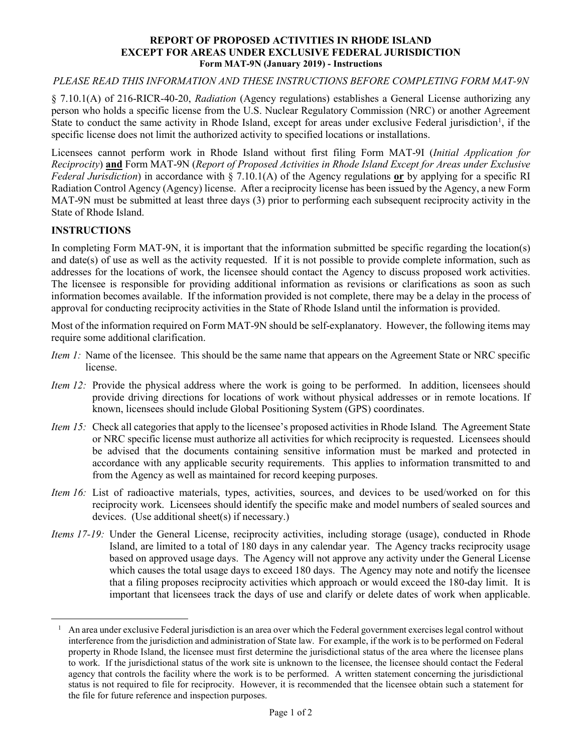#### **REPORT OF PROPOSED ACTIVITIES IN RHODE ISLAND EXCEPT FOR AREAS UNDER EXCLUSIVE FEDERAL JURISDICTION Form MAT-9N (January 2019) - Instructions**

#### *PLEASE READ THIS INFORMATION AND THESE INSTRUCTIONS BEFORE COMPLETING FORM MAT-9N*

§ 7.10.1(A) of 216-RICR-40-20, *Radiation* (Agency regulations) establishes a General License authorizing any person who holds a specific license from the U.S. Nuclear Regulatory Commission (NRC) or another Agreement State to conduct the same activity in Rhode Island, except for areas under exclusive Federal jurisdiction<sup>[1](#page-1-0)</sup>, if the specific license does not limit the authorized activity to specified locations or installations.

Licensees cannot perform work in Rhode Island without first filing Form MAT-9I (*Initial Application for Reciprocity*) **and** Form MAT-9N (*Report of Proposed Activities in Rhode Island Except for Areas under Exclusive Federal Jurisdiction*) in accordance with § 7.10.1(A) of the Agency regulations **or** by applying for a specific RI Radiation Control Agency (Agency) license. After a reciprocity license has been issued by the Agency, a new Form MAT-9N must be submitted at least three days (3) prior to performing each subsequent reciprocity activity in the State of Rhode Island.

### **INSTRUCTIONS**

In completing Form MAT-9N, it is important that the information submitted be specific regarding the location(s) and date(s) of use as well as the activity requested. If it is not possible to provide complete information, such as addresses for the locations of work, the licensee should contact the Agency to discuss proposed work activities. The licensee is responsible for providing additional information as revisions or clarifications as soon as such information becomes available. If the information provided is not complete, there may be a delay in the process of approval for conducting reciprocity activities in the State of Rhode Island until the information is provided.

Most of the information required on Form MAT-9N should be self-explanatory. However, the following items may require some additional clarification.

- *Item 1:* Name of the licensee. This should be the same name that appears on the Agreement State or NRC specific license.
- *Item 12:* Provide the physical address where the work is going to be performed. In addition, licensees should provide driving directions for locations of work without physical addresses or in remote locations. If known, licensees should include Global Positioning System (GPS) coordinates.
- *Item 15:* Check all categories that apply to the licensee's proposed activities in Rhode Island*.* The Agreement State or NRC specific license must authorize all activities for which reciprocity is requested. Licensees should be advised that the documents containing sensitive information must be marked and protected in accordance with any applicable security requirements. This applies to information transmitted to and from the Agency as well as maintained for record keeping purposes.
- *Item 16:* List of radioactive materials, types, activities, sources, and devices to be used/worked on for this reciprocity work. Licensees should identify the specific make and model numbers of sealed sources and devices. (Use additional sheet(s) if necessary.)
- *Items 17-19:* Under the General License, reciprocity activities, including storage (usage), conducted in Rhode Island, are limited to a total of 180 days in any calendar year. The Agency tracks reciprocity usage based on approved usage days. The Agency will not approve any activity under the General License which causes the total usage days to exceed 180 days. The Agency may note and notify the licensee that a filing proposes reciprocity activities which approach or would exceed the 180-day limit. It is important that licensees track the days of use and clarify or delete dates of work when applicable.

<span id="page-1-0"></span> $<sup>1</sup>$  An area under exclusive Federal jurisdiction is an area over which the Federal government exercises legal control without</sup> interference from the jurisdiction and administration of State law. For example, if the work is to be performed on Federal property in Rhode Island, the licensee must first determine the jurisdictional status of the area where the licensee plans to work. If the jurisdictional status of the work site is unknown to the licensee, the licensee should contact the Federal agency that controls the facility where the work is to be performed. A written statement concerning the jurisdictional status is not required to file for reciprocity. However, it is recommended that the licensee obtain such a statement for the file for future reference and inspection purposes.